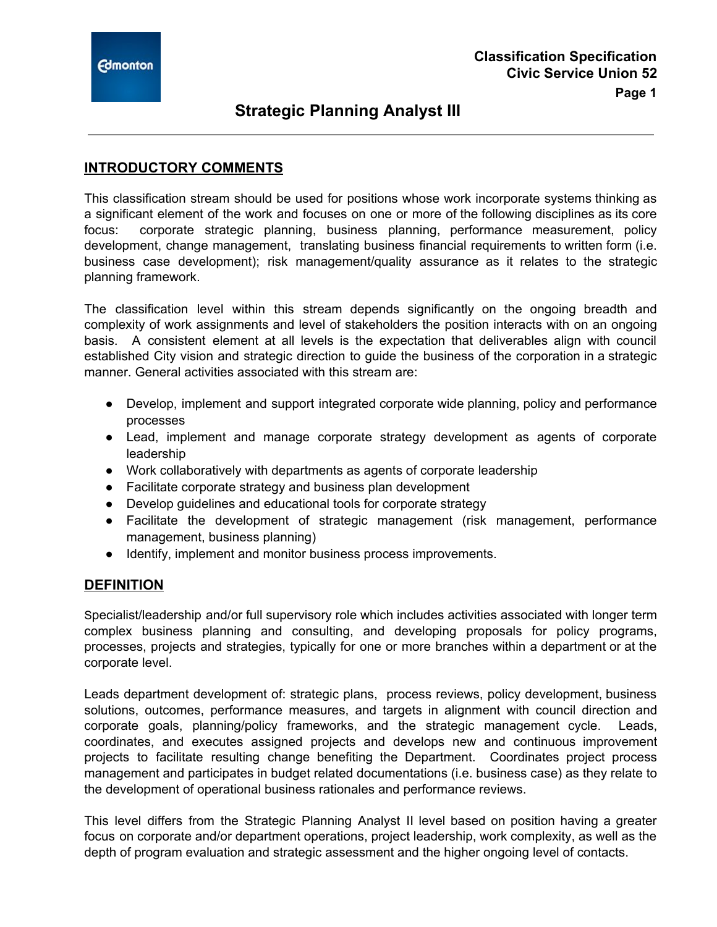### **INTRODUCTORY COMMENTS**

This classification stream should be used for positions whose work incorporate systems thinking as a significant element of the work and focuses on one or more of the following disciplines as its core focus: corporate strategic planning, business planning, performance measurement, policy development, change management, translating business financial requirements to written form (i.e. business case development); risk management/quality assurance as it relates to the strategic planning framework.

The classification level within this stream depends significantly on the ongoing breadth and complexity of work assignments and level of stakeholders the position interacts with on an ongoing basis. A consistent element at all levels is the expectation that deliverables align with council established City vision and strategic direction to guide the business of the corporation in a strategic manner. General activities associated with this stream are:

- Develop, implement and support integrated corporate wide planning, policy and performance processes
- Lead, implement and manage corporate strategy development as agents of corporate leadership
- Work collaboratively with departments as agents of corporate leadership
- Facilitate corporate strategy and business plan development
- Develop guidelines and educational tools for corporate strategy
- Facilitate the development of strategic management (risk management, performance management, business planning)
- Identify, implement and monitor business process improvements.

#### **DEFINITION**

Specialist/leadership and/or full supervisory role which includes activities associated with longer term complex business planning and consulting, and developing proposals for policy programs, processes, projects and strategies, typically for one or more branches within a department or at the corporate level.

Leads department development of: strategic plans, process reviews, policy development, business solutions, outcomes, performance measures, and targets in alignment with council direction and corporate goals, planning/policy frameworks, and the strategic management cycle. Leads, coordinates, and executes assigned projects and develops new and continuous improvement projects to facilitate resulting change benefiting the Department. Coordinates project process management and participates in budget related documentations (i.e. business case) as they relate to the development of operational business rationales and performance reviews.

This level differs from the Strategic Planning Analyst II level based on position having a greater focus on corporate and/or department operations, project leadership, work complexity, as well as the depth of program evaluation and strategic assessment and the higher ongoing level of contacts.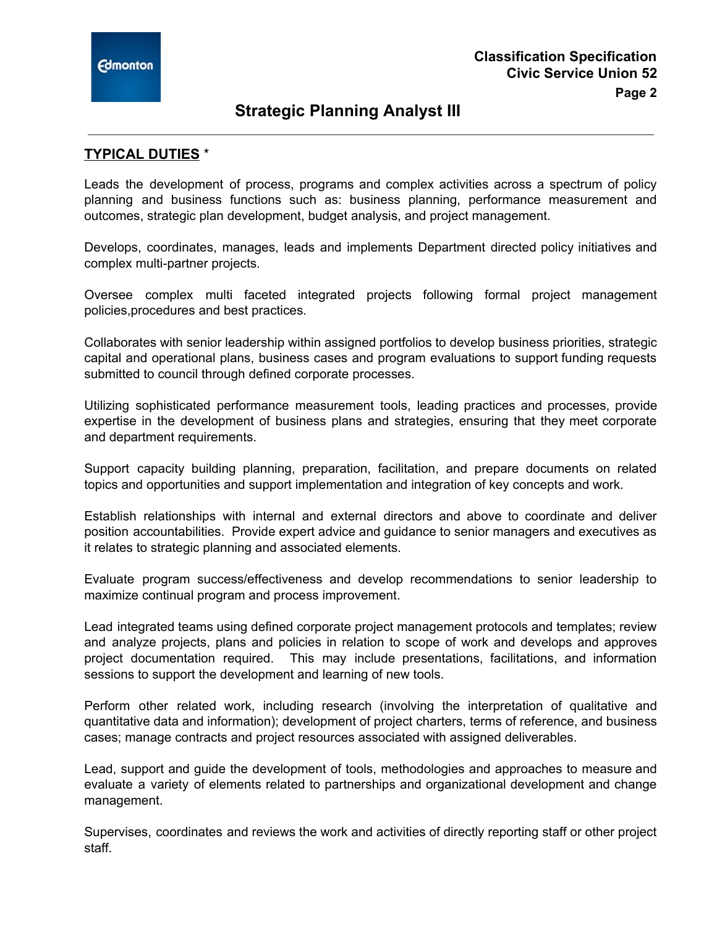

#### **TYPICAL DUTIES** \*

Leads the development of process, programs and complex activities across a spectrum of policy planning and business functions such as: business planning, performance measurement and outcomes, strategic plan development, budget analysis, and project management.

Develops, coordinates, manages, leads and implements Department directed policy initiatives and complex multi-partner projects.

Oversee complex multi faceted integrated projects following formal project management policies,procedures and best practices.

Collaborates with senior leadership within assigned portfolios to develop business priorities, strategic capital and operational plans, business cases and program evaluations to support funding requests submitted to council through defined corporate processes.

Utilizing sophisticated performance measurement tools, leading practices and processes, provide expertise in the development of business plans and strategies, ensuring that they meet corporate and department requirements.

Support capacity building planning, preparation, facilitation, and prepare documents on related topics and opportunities and support implementation and integration of key concepts and work.

Establish relationships with internal and external directors and above to coordinate and deliver position accountabilities. Provide expert advice and guidance to senior managers and executives as it relates to strategic planning and associated elements.

Evaluate program success/effectiveness and develop recommendations to senior leadership to maximize continual program and process improvement.

Lead integrated teams using defined corporate project management protocols and templates; review and analyze projects, plans and policies in relation to scope of work and develops and approves project documentation required. This may include presentations, facilitations, and information sessions to support the development and learning of new tools.

Perform other related work, including research (involving the interpretation of qualitative and quantitative data and information); development of project charters, terms of reference, and business cases; manage contracts and project resources associated with assigned deliverables.

Lead, support and guide the development of tools, methodologies and approaches to measure and evaluate a variety of elements related to partnerships and organizational development and change management.

Supervises, coordinates and reviews the work and activities of directly reporting staff or other project staff.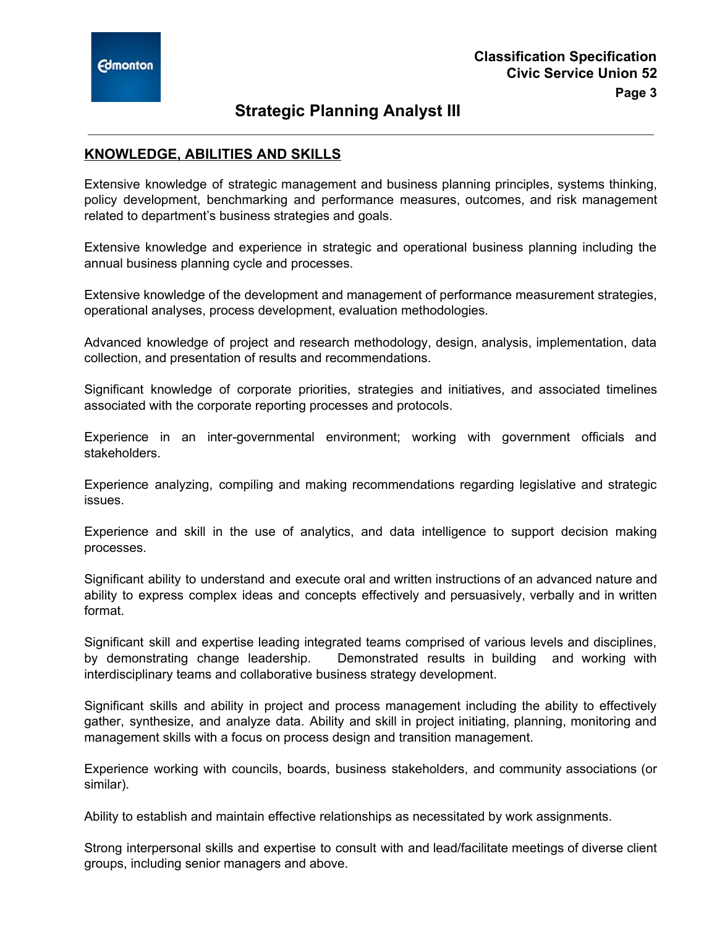### **KNOWLEDGE, ABILITIES AND SKILLS**

Extensive knowledge of strategic management and business planning principles, systems thinking, policy development, benchmarking and performance measures, outcomes, and risk management related to department's business strategies and goals.

Extensive knowledge and experience in strategic and operational business planning including the annual business planning cycle and processes.

Extensive knowledge of the development and management of performance measurement strategies, operational analyses, process development, evaluation methodologies.

Advanced knowledge of project and research methodology, design, analysis, implementation, data collection, and presentation of results and recommendations.

Significant knowledge of corporate priorities, strategies and initiatives, and associated timelines associated with the corporate reporting processes and protocols.

Experience in an inter-governmental environment; working with government officials and stakeholders.

Experience analyzing, compiling and making recommendations regarding legislative and strategic issues.

Experience and skill in the use of analytics, and data intelligence to support decision making processes.

Significant ability to understand and execute oral and written instructions of an advanced nature and ability to express complex ideas and concepts effectively and persuasively, verbally and in written format.

Significant skill and expertise leading integrated teams comprised of various levels and disciplines, by demonstrating change leadership. Demonstrated results in building and working with interdisciplinary teams and collaborative business strategy development.

Significant skills and ability in project and process management including the ability to effectively gather, synthesize, and analyze data. Ability and skill in project initiating, planning, monitoring and management skills with a focus on process design and transition management.

Experience working with councils, boards, business stakeholders, and community associations (or similar).

Ability to establish and maintain effective relationships as necessitated by work assignments.

Strong interpersonal skills and expertise to consult with and lead/facilitate meetings of diverse client groups, including senior managers and above.